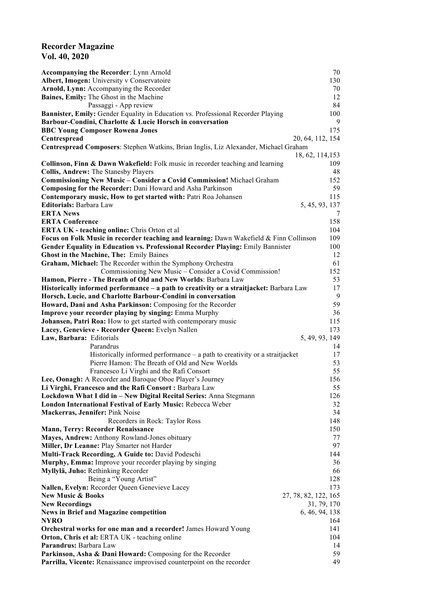## **Recorder Magazine Vol. 40, 2020**

| <b>Accompanying the Recorder: Lynn Arnold</b>                                           | 70                   |
|-----------------------------------------------------------------------------------------|----------------------|
| Albert, Imogen: University v Conservatoire                                              | 130                  |
| Arnold, Lynn: Accompanying the Recorder                                                 | 70                   |
| Baines, Emily: The Ghost in the Machine                                                 | 12                   |
|                                                                                         | 84                   |
| Passaggi - App review                                                                   |                      |
| Bannister, Emily: Gender Equality in Education vs. Professional Recorder Playing        | 100                  |
| Barbour-Condini, Charlotte & Lucie Horsch in conversation                               | 9                    |
| <b>BBC Young Composer Rowena Jones</b>                                                  | 175                  |
| Centrespread                                                                            | 20, 64, 112, 154     |
| Centrespread Composers: Stephen Watkins, Brian Inglis, Liz Alexander, Michael Graham    |                      |
|                                                                                         | 18, 62, 114, 153     |
|                                                                                         |                      |
| Collinson, Finn & Dawn Wakefield: Folk music in recorder teaching and learning          | 109                  |
| Collis, Andrew: The Stanesby Players                                                    | 48                   |
| Commissioning New Music - Consider a Covid Commission! Michael Graham                   | 152                  |
| <b>Composing for the Recorder: Dani Howard and Asha Parkinson</b>                       | 59                   |
| Contemporary music, How to get started with: Patri Roa Johansen                         | 115                  |
| <b>Editorials: Barbara Law</b>                                                          | 5, 45, 93, 137       |
| <b>ERTA News</b>                                                                        | 7                    |
| <b>ERTA Conference</b>                                                                  | 158                  |
|                                                                                         |                      |
| <b>ERTA UK - teaching online:</b> Chris Orton et al                                     | 104                  |
| Focus on Folk Music in recorder teaching and learning: Dawn Wakefield & Finn Collinson  | 109                  |
| Gender Equality in Education vs. Professional Recorder Playing: Emily Bannister         | 100                  |
| Ghost in the Machine, The: Emily Baines                                                 | 12                   |
| Graham, Michael: The Recorder within the Symphony Orchestra                             | 61                   |
| Commissioning New Music – Consider a Covid Commission!                                  | 152                  |
| Hamon, Pierre - The Breath of Old and New Worlds: Barbara Law                           | 53                   |
|                                                                                         | 17                   |
| Historically informed performance - a path to creativity or a straitjacket: Barbara Law |                      |
| Horsch, Lucie, and Charlotte Barbour-Condini in conversation                            | 9                    |
| Howard, Dani and Asha Parkinson: Composing for the Recorder                             | 59                   |
| Improve your recorder playing by singing: Emma Murphy                                   | 36                   |
| Johansen, Patri Roa: How to get started with contemporary music                         | 115                  |
| Lacey, Genevieve - Recorder Queen: Evelyn Nallen                                        | 173                  |
| Law, Barbara: Editorials                                                                | 5, 49, 93, 149       |
| Parandrus                                                                               | 14                   |
| Historically informed performance – a path to creativity or a straitjacket              | 17                   |
| Pierre Hamon: The Breath of Old and New Worlds                                          | 53                   |
| Francesco Li Virghi and the Rafi Consort                                                | 55                   |
|                                                                                         |                      |
| Lee, Oonagh: A Recorder and Baroque Oboe Player's Journey                               | 156                  |
| Li Virghi, Francesco and the Rafi Consort : Barbara Law                                 | 55                   |
| Lockdown What I did in - New Digital Recital Series: Anna Stegmann                      | 126                  |
| London International Festival of Early Music: Rebecca Weber                             | 32                   |
| Mackerras, Jennifer: Pink Noise                                                         | 34                   |
| Recorders in Rock: Taylor Ross                                                          | 148                  |
| <b>Mann, Terry: Recorder Renaissance</b>                                                | 150                  |
| Mayes, Andrew: Anthony Rowland-Jones obituary                                           | 77                   |
| Miller, Dr Leanne: Play Smarter not Harder                                              | 97                   |
| Multi-Track Recording, A Guide to: David Podeschi                                       | 144                  |
|                                                                                         |                      |
| Murphy, Emma: Improve your recorder playing by singing                                  | 36                   |
| Myllylä, Juho: Rethinking Recorder                                                      | 66                   |
| Being a "Young Artist"                                                                  | 128                  |
| Nallen, Evelyn: Recorder Queen Genevieve Lacey                                          | 173                  |
| <b>New Music &amp; Books</b>                                                            | 27, 78, 82, 122, 165 |
| <b>New Recordings</b>                                                                   | 31, 79, 170          |
| <b>News in Brief and Magazine competition</b>                                           | 6, 46, 94, 138       |
| <b>NYRO</b>                                                                             | 164                  |
| Orchestral works for one man and a recorder! James Howard Young                         | 141                  |
| Orton, Chris et al: ERTA UK - teaching online                                           | 104                  |
| Parandrus: Barbara Law                                                                  |                      |
|                                                                                         | 14                   |
| Parkinson, Asha & Dani Howard: Composing for the Recorder                               | 59                   |
| Parrilla, Vicente: Renaissance improvised counterpoint on the recorder                  | 49                   |